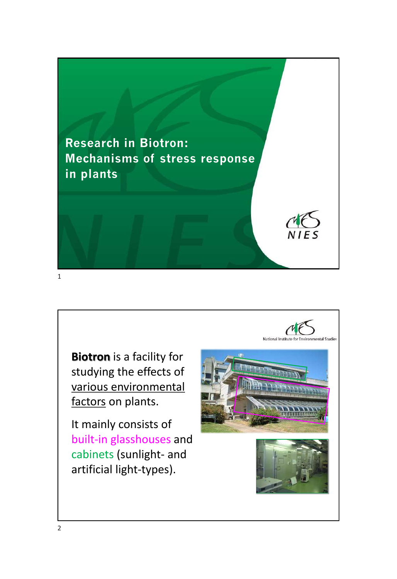

**Biotron** is a facility for studying the effects of various environmental factors on plants.

It mainly consists of built-in glasshouses and cabinets (sunlight- and artificial light-types).

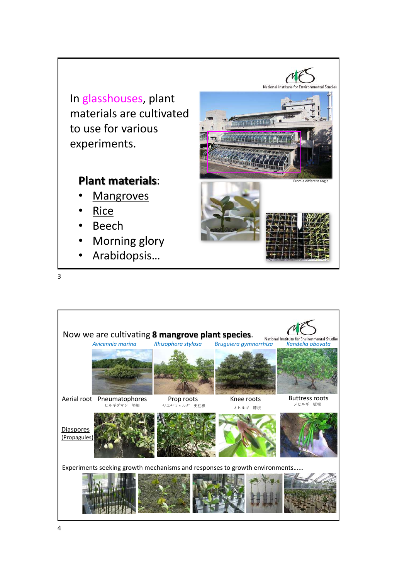

## **Plant materials**:

- **Mangroves**
- Rice

3

- Beech
- Morning glory
- Arabidopsis…



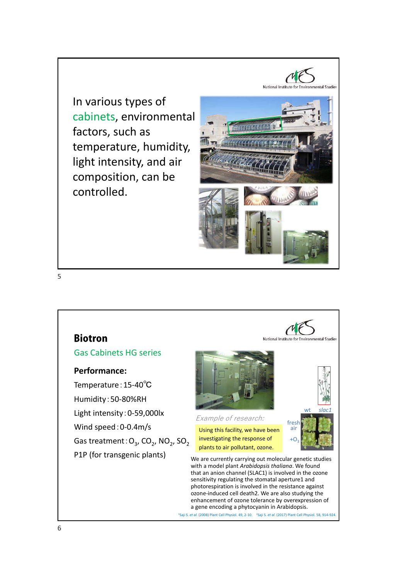In various types of cabinets, environmental factors, such as temperature, humidity, light intensity, and air composition, can be controlled.





a gene encoding a phytocyanin in Arabidopsis. <sup>1</sup>Saji S. *et al.* (2008) Plant Cell Physiol. 49, 2-10. <sup>2</sup>Saji S. *et al*. (2017) Plant Cell Physiol. 58, 914-924.

6

5